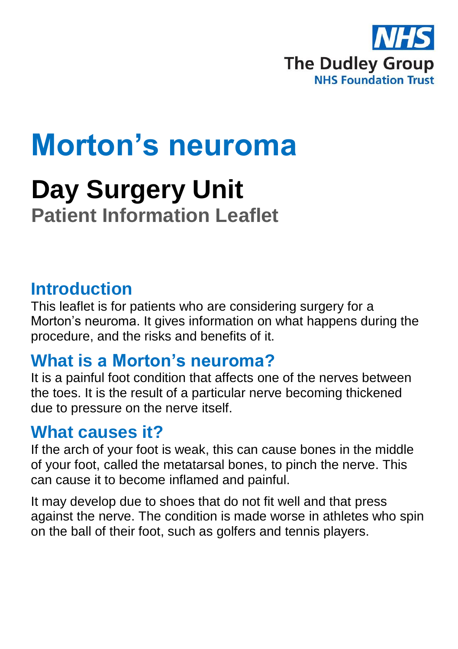

# **Morton's neuroma**

## **Day Surgery Unit Patient Information Leaflet**

#### **Introduction**

This leaflet is for patients who are considering surgery for a Morton's neuroma. It gives information on what happens during the procedure, and the risks and benefits of it.

#### **What is a Morton's neuroma?**

It is a painful foot condition that affects one of the nerves between the toes. It is the result of a particular nerve becoming thickened due to pressure on the nerve itself.

#### **What causes it?**

If the arch of your foot is weak, this can cause bones in the middle of your foot, called the metatarsal bones, to pinch the nerve. This can cause it to become inflamed and painful.

It may develop due to shoes that do not fit well and that press against the nerve. The condition is made worse in athletes who spin on the ball of their foot, such as golfers and tennis players.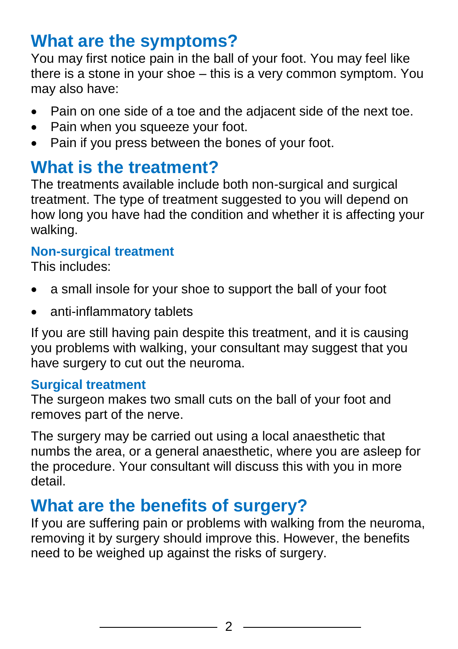#### **What are the symptoms?**

You may first notice pain in the ball of your foot. You may feel like there is a stone in your shoe – this is a very common symptom. You may also have:

- Pain on one side of a toe and the adjacent side of the next toe.
- Pain when you squeeze your foot.
- Pain if you press between the bones of your foot.

#### **What is the treatment?**

The treatments available include both non-surgical and surgical treatment. The type of treatment suggested to you will depend on how long you have had the condition and whether it is affecting your walking.

#### **Non-surgical treatment**

This includes:

- a small insole for your shoe to support the ball of your foot
- anti-inflammatory tablets

If you are still having pain despite this treatment, and it is causing you problems with walking, your consultant may suggest that you have surgery to cut out the neuroma.

#### **Surgical treatment**

The surgeon makes two small cuts on the ball of your foot and removes part of the nerve.

The surgery may be carried out using a local anaesthetic that numbs the area, or a general anaesthetic, where you are asleep for the procedure. Your consultant will discuss this with you in more detail.

#### **What are the benefits of surgery?**

If you are suffering pain or problems with walking from the neuroma, removing it by surgery should improve this. However, the benefits need to be weighed up against the risks of surgery.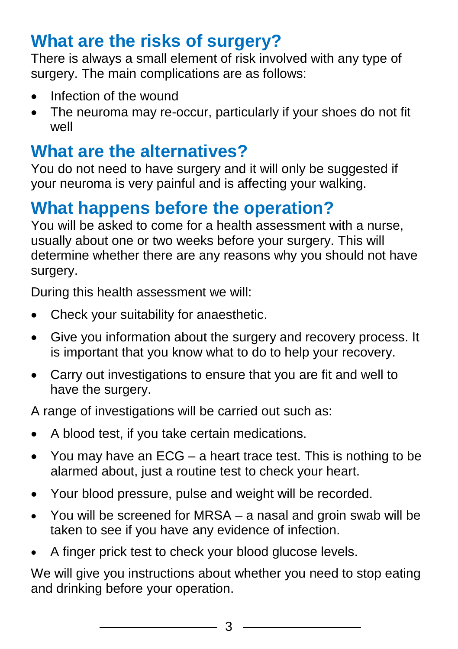### **What are the risks of surgery?**

There is always a small element of risk involved with any type of surgery. The main complications are as follows:

- Infection of the wound
- The neuroma may re-occur, particularly if your shoes do not fit well

#### **What are the alternatives?**

You do not need to have surgery and it will only be suggested if your neuroma is very painful and is affecting your walking.

#### **What happens before the operation?**

You will be asked to come for a health assessment with a nurse, usually about one or two weeks before your surgery. This will determine whether there are any reasons why you should not have surgery.

During this health assessment we will:

- Check your suitability for anaesthetic.
- Give you information about the surgery and recovery process. It is important that you know what to do to help your recovery.
- Carry out investigations to ensure that you are fit and well to have the surgery.

A range of investigations will be carried out such as:

- A blood test, if you take certain medications.
- You may have an ECG a heart trace test. This is nothing to be alarmed about, just a routine test to check your heart.
- Your blood pressure, pulse and weight will be recorded.
- You will be screened for MRSA a nasal and groin swab will be taken to see if you have any evidence of infection.
- A finger prick test to check your blood glucose levels.

We will give you instructions about whether you need to stop eating and drinking before your operation.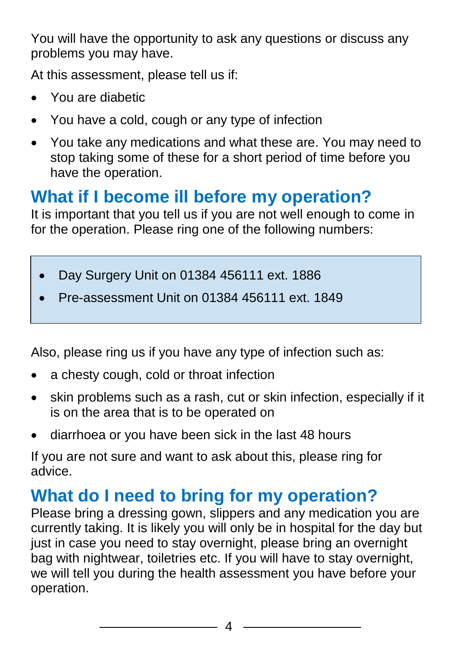You will have the opportunity to ask any questions or discuss any problems you may have.

At this assessment, please tell us if:

- You are diabetic
- You have a cold, cough or any type of infection
- You take any medications and what these are. You may need to stop taking some of these for a short period of time before you have the operation.

## **What if I become ill before my operation?**

It is important that you tell us if you are not well enough to come in for the operation. Please ring one of the following numbers:

- Day Surgery Unit on 01384 456111 ext. 1886
- Pre-assessment Unit on 01384 456111 ext. 1849

Also, please ring us if you have any type of infection such as:

- a chesty cough, cold or throat infection
- skin problems such as a rash, cut or skin infection, especially if it is on the area that is to be operated on
- diarrhoea or you have been sick in the last 48 hours

If you are not sure and want to ask about this, please ring for advice.

#### **What do I need to bring for my operation?**

Please bring a dressing gown, slippers and any medication you are currently taking. It is likely you will only be in hospital for the day but just in case you need to stay overnight, please bring an overnight bag with nightwear, toiletries etc. If you will have to stay overnight, we will tell you during the health assessment you have before your operation.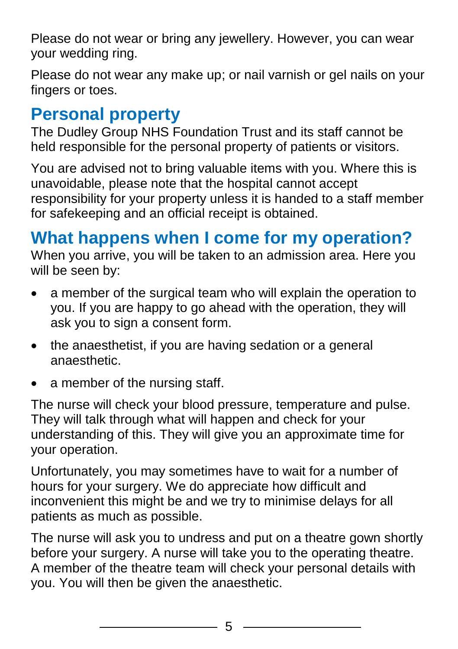Please do not wear or bring any jewellery. However, you can wear your wedding ring.

Please do not wear any make up; or nail varnish or gel nails on your fingers or toes.

#### **Personal property**

The Dudley Group NHS Foundation Trust and its staff cannot be held responsible for the personal property of patients or visitors.

You are advised not to bring valuable items with you. Where this is unavoidable, please note that the hospital cannot accept responsibility for your property unless it is handed to a staff member for safekeeping and an official receipt is obtained.

## **What happens when I come for my operation?**

When you arrive, you will be taken to an admission area. Here you will be seen by:

- a member of the surgical team who will explain the operation to you. If you are happy to go ahead with the operation, they will ask you to sign a consent form.
- the anaesthetist, if you are having sedation or a general anaesthetic.
- a member of the nursing staff.

The nurse will check your blood pressure, temperature and pulse. They will talk through what will happen and check for your understanding of this. They will give you an approximate time for your operation.

Unfortunately, you may sometimes have to wait for a number of hours for your surgery. We do appreciate how difficult and inconvenient this might be and we try to minimise delays for all patients as much as possible.

The nurse will ask you to undress and put on a theatre gown shortly before your surgery. A nurse will take you to the operating theatre. A member of the theatre team will check your personal details with you. You will then be given the anaesthetic.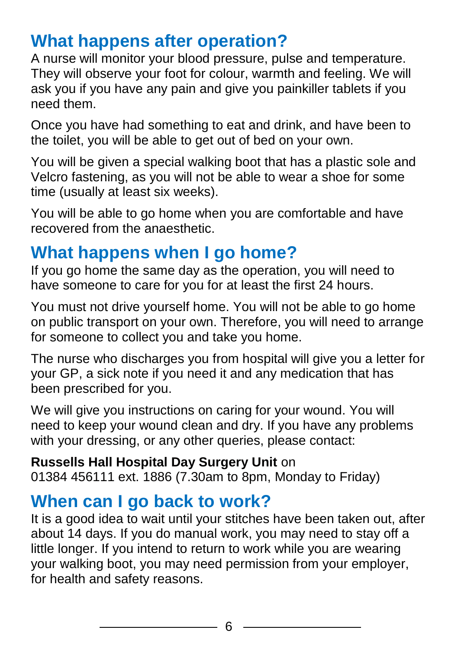#### **What happens after operation?**

A nurse will monitor your blood pressure, pulse and temperature. They will observe your foot for colour, warmth and feeling. We will ask you if you have any pain and give you painkiller tablets if you need them.

Once you have had something to eat and drink, and have been to the toilet, you will be able to get out of bed on your own.

You will be given a special walking boot that has a plastic sole and Velcro fastening, as you will not be able to wear a shoe for some time (usually at least six weeks).

You will be able to go home when you are comfortable and have recovered from the anaesthetic.

#### **What happens when I go home?**

If you go home the same day as the operation, you will need to have someone to care for you for at least the first 24 hours.

You must not drive yourself home. You will not be able to go home on public transport on your own. Therefore, you will need to arrange for someone to collect you and take you home.

The nurse who discharges you from hospital will give you a letter for your GP, a sick note if you need it and any medication that has been prescribed for you.

We will give you instructions on caring for your wound. You will need to keep your wound clean and dry. If you have any problems with your dressing, or any other queries, please contact:

#### **Russells Hall Hospital Day Surgery Unit** on

01384 456111 ext. 1886 (7.30am to 8pm, Monday to Friday)

#### **When can I go back to work?**

It is a good idea to wait until your stitches have been taken out, after about 14 days. If you do manual work, you may need to stay off a little longer. If you intend to return to work while you are wearing your walking boot, you may need permission from your employer, for health and safety reasons.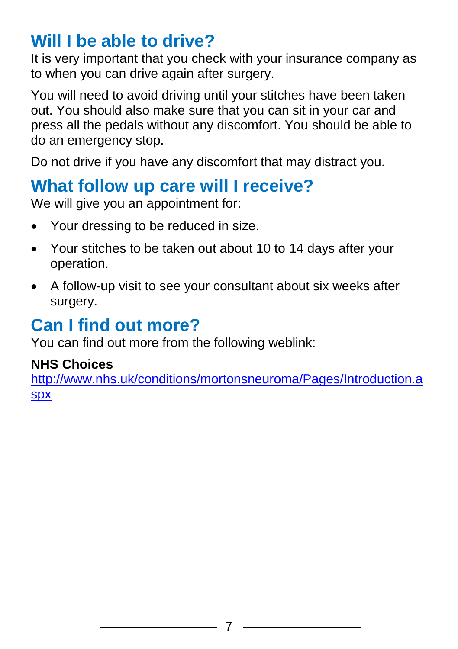#### **Will I be able to drive?**

It is very important that you check with your insurance company as to when you can drive again after surgery.

You will need to avoid driving until your stitches have been taken out. You should also make sure that you can sit in your car and press all the pedals without any discomfort. You should be able to do an emergency stop.

Do not drive if you have any discomfort that may distract you.

#### **What follow up care will I receive?**

We will give you an appointment for:

- Your dressing to be reduced in size.
- Your stitches to be taken out about 10 to 14 days after your operation.
- A follow-up visit to see your consultant about six weeks after surgery.

## **Can I find out more?**

You can find out more from the following weblink:

#### **NHS Choices**

[http://www.nhs.uk/conditions/mortonsneuroma/Pages/Introduction.a](http://www.nhs.uk/conditions/mortonsneuroma/Pages/Introduction.aspx) [spx](http://www.nhs.uk/conditions/mortonsneuroma/Pages/Introduction.aspx)